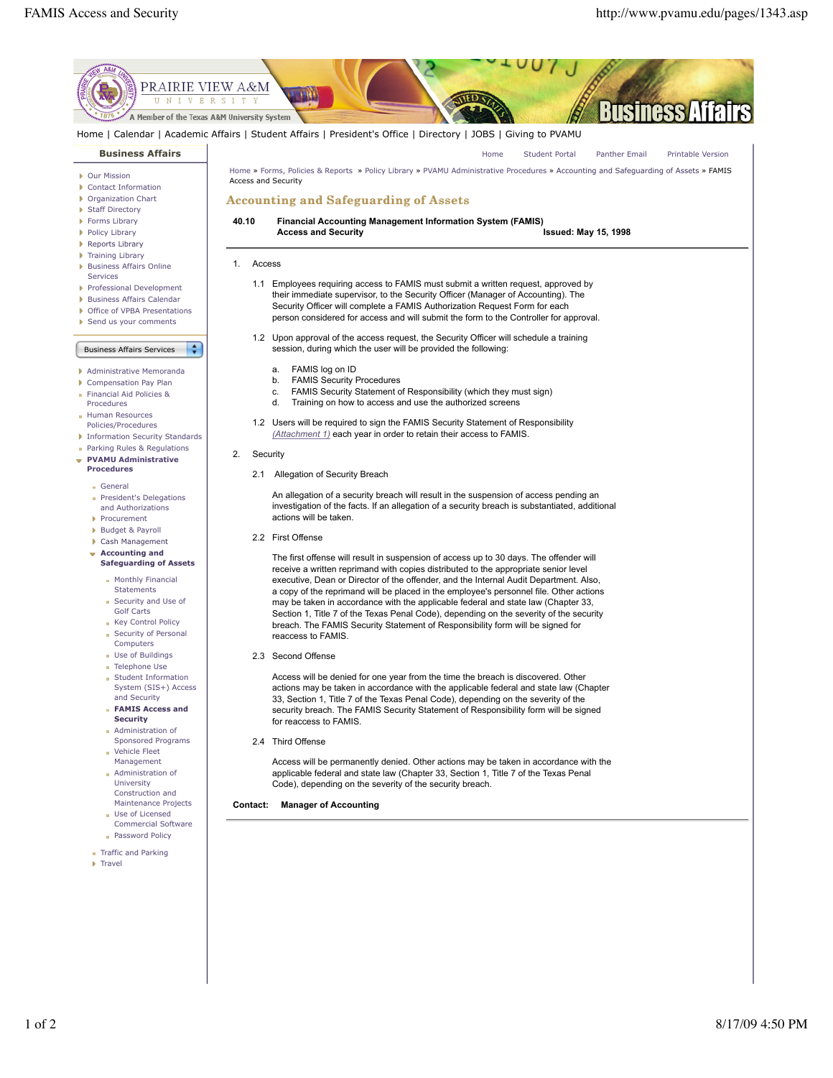